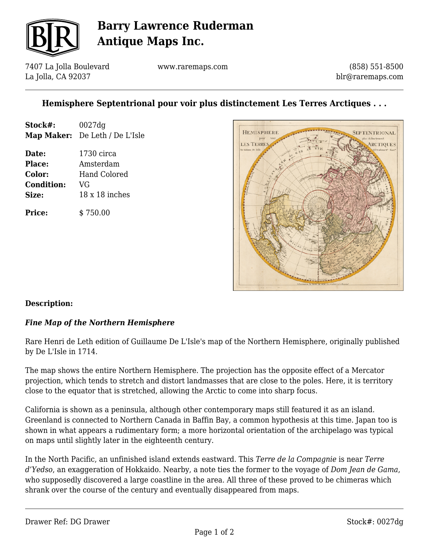

# **Barry Lawrence Ruderman Antique Maps Inc.**

7407 La Jolla Boulevard La Jolla, CA 92037

www.raremaps.com

(858) 551-8500 blr@raremaps.com

## **Hemisphere Septentrional pour voir plus distinctement Les Terres Arctiques . . .**

| Stock#:           | 0027dg               |
|-------------------|----------------------|
| <b>Map Maker:</b> | De Leth / De L'Isle  |
| Date:             | $1730 \text{ circa}$ |
| Place:            | Amsterdam            |
| Color:            | Hand Colored         |
| <b>Condition:</b> | VG                   |
| Size:             | 18 x 18 inches       |
| Price:            | \$750.00             |



### **Description:**

### *Fine Map of the Northern Hemisphere*

Rare Henri de Leth edition of Guillaume De L'Isle's map of the Northern Hemisphere, originally published by De L'Isle in 1714.

The map shows the entire Northern Hemisphere. The projection has the opposite effect of a Mercator projection, which tends to stretch and distort landmasses that are close to the poles. Here, it is territory close to the equator that is stretched, allowing the Arctic to come into sharp focus.

California is shown as a peninsula, although other contemporary maps still featured it as an island. Greenland is connected to Northern Canada in Baffin Bay, a common hypothesis at this time. Japan too is shown in what appears a rudimentary form; a more horizontal orientation of the archipelago was typical on maps until slightly later in the eighteenth century.

In the North Pacific, an unfinished island extends eastward. This *Terre de la Compagnie* is near *Terre d'Yedso*, an exaggeration of Hokkaido. Nearby, a note ties the former to the voyage of *Dom Jean de Gama*, who supposedly discovered a large coastline in the area. All three of these proved to be chimeras which shrank over the course of the century and eventually disappeared from maps.